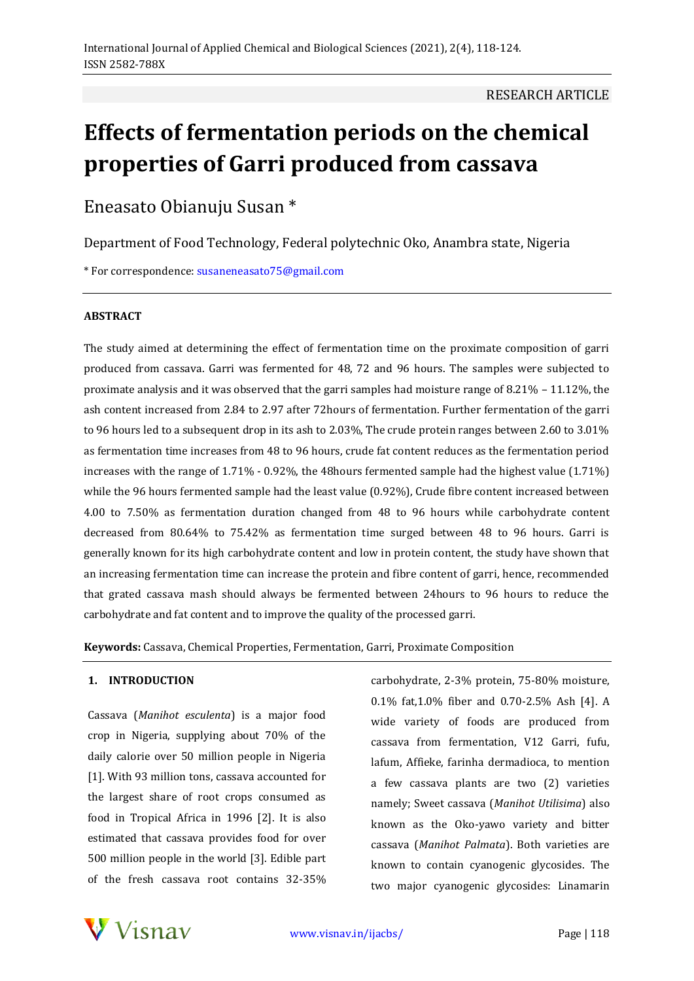# **Effects of fermentation periods on the chemical properties of Garri produced from cassava**

Eneasato Obianuju Susan \*

Department of Food Technology, Federal polytechnic Oko, Anambra state, Nigeria

\* For correspondence: susaneneasato75@gmail.com

## **ABSTRACT**

The study aimed at determining the effect of fermentation time on the proximate composition of garri produced from cassava. Garri was fermented for 48, 72 and 96 hours. The samples were subjected to proximate analysis and it was observed that the garri samples had moisture range of 8.21% – 11.12%, the ash content increased from 2.84 to 2.97 after 72hours of fermentation. Further fermentation of the garri to 96 hours led to a subsequent drop in its ash to 2.03%, The crude protein ranges between 2.60 to 3.01% as fermentation time increases from 48 to 96 hours, crude fat content reduces as the fermentation period increases with the range of 1.71% - 0.92%, the 48hours fermented sample had the highest value (1.71%) while the 96 hours fermented sample had the least value (0.92%), Crude fibre content increased between 4.00 to 7.50% as fermentation duration changed from 48 to 96 hours while carbohydrate content decreased from 80.64% to 75.42% as fermentation time surged between 48 to 96 hours. Garri is generally known for its high carbohydrate content and low in protein content, the study have shown that an increasing fermentation time can increase the protein and fibre content of garri, hence, recommended that grated cassava mash should always be fermented between 24hours to 96 hours to reduce the carbohydrate and fat content and to improve the quality of the processed garri.

**Keywords:** Cassava, Chemical Properties, Fermentation, Garri, Proximate Composition

## **1. INTRODUCTION**

Cassava (*Manihot esculenta*) is a major food crop in Nigeria, supplying about 70% of the daily calorie over 50 million people in Nigeria [1]. With 93 million tons, cassava accounted for the largest share of root crops consumed as food in Tropical Africa in 1996 [2]. It is also estimated that cassava provides food for over 500 million people in the world [3]. Edible part of the fresh cassava root contains 32-35%

carbohydrate, 2-3% protein, 75-80% moisture, 0.1% fat,1.0% fiber and 0.70-2.5% Ash [4]. A wide variety of foods are produced from cassava from fermentation, V12 Garri, fufu, lafum, Affieke, farinha dermadioca, to mention a few cassava plants are two (2) varieties namely; Sweet cassava (*Manihot Utilisima*) also known as the Oko-yawo variety and bitter cassava (*Manihot Palmata*). Both varieties are known to contain cyanogenic glycosides. The two major cyanogenic glycosides: Linamarin

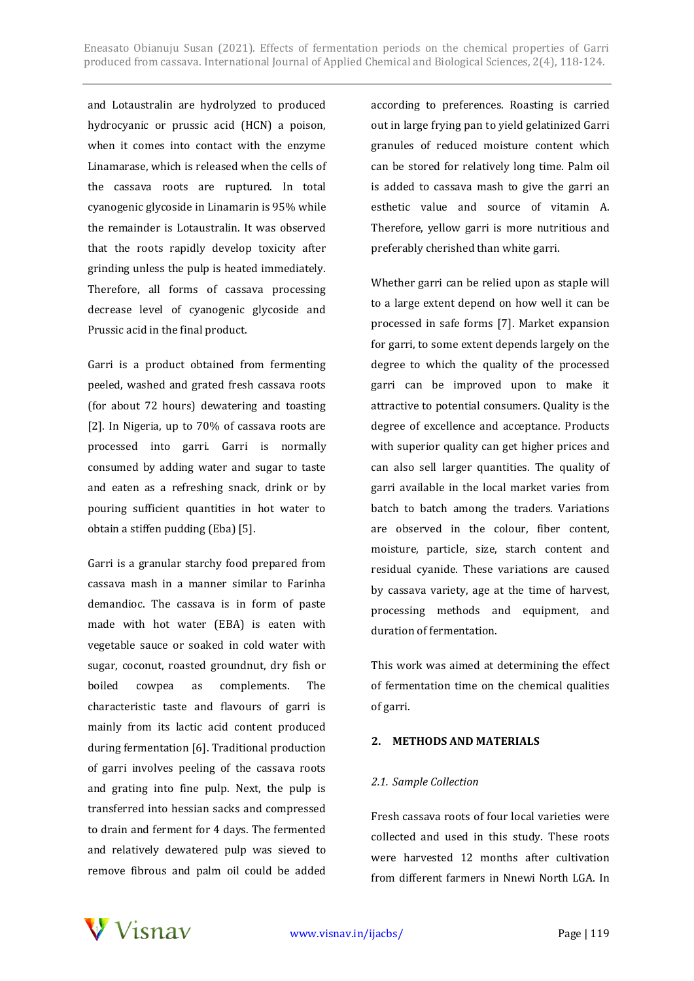and Lotaustralin are hydrolyzed to produced hydrocyanic or prussic acid (HCN) a poison, when it comes into contact with the enzyme Linamarase, which is released when the cells of the cassava roots are ruptured. In total cyanogenic glycoside in Linamarin is 95% while the remainder is Lotaustralin. It was observed that the roots rapidly develop toxicity after grinding unless the pulp is heated immediately. Therefore, all forms of cassava processing decrease level of cyanogenic glycoside and Prussic acid in the final product.

Garri is a product obtained from fermenting peeled, washed and grated fresh cassava roots (for about 72 hours) dewatering and toasting [2]. In Nigeria, up to 70% of cassava roots are processed into garri. Garri is normally consumed by adding water and sugar to taste and eaten as a refreshing snack, drink or by pouring sufficient quantities in hot water to obtain a stiffen pudding (Eba) [5].

Garri is a granular starchy food prepared from cassava mash in a manner similar to Farinha demandioc. The cassava is in form of paste made with hot water (EBA) is eaten with vegetable sauce or soaked in cold water with sugar, coconut, roasted groundnut, dry fish or boiled cowpea as complements. The characteristic taste and flavours of garri is mainly from its lactic acid content produced during fermentation [6]. Traditional production of garri involves peeling of the cassava roots and grating into fine pulp. Next, the pulp is transferred into hessian sacks and compressed to drain and ferment for 4 days. The fermented and relatively dewatered pulp was sieved to remove fibrous and palm oil could be added according to preferences. Roasting is carried out in large frying pan to yield gelatinized Garri granules of reduced moisture content which can be stored for relatively long time. Palm oil is added to cassava mash to give the garri an esthetic value and source of vitamin A. Therefore, yellow garri is more nutritious and preferably cherished than white garri.

Whether garri can be relied upon as staple will to a large extent depend on how well it can be processed in safe forms [7]. Market expansion for garri, to some extent depends largely on the degree to which the quality of the processed garri can be improved upon to make it attractive to potential consumers. Quality is the degree of excellence and acceptance. Products with superior quality can get higher prices and can also sell larger quantities. The quality of garri available in the local market varies from batch to batch among the traders. Variations are observed in the colour, fiber content, moisture, particle, size, starch content and residual cyanide. These variations are caused by cassava variety, age at the time of harvest, processing methods and equipment, and duration of fermentation.

This work was aimed at determining the effect of fermentation time on the chemical qualities of garri.

#### **2. METHODS AND MATERIALS**

#### *2.1. Sample Collection*

Fresh cassava roots of four local varieties were collected and used in this study. These roots were harvested 12 months after cultivation from different farmers in Nnewi North LGA. In

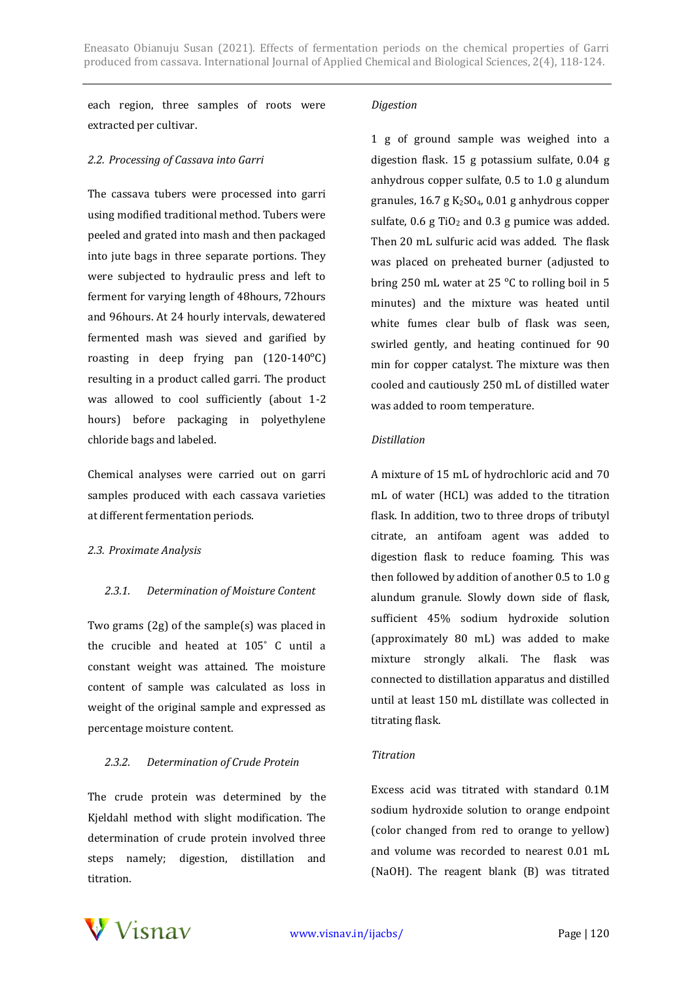each region, three samples of roots were extracted per cultivar.

#### *2.2. Processing of Cassava into Garri*

The cassava tubers were processed into garri using modified traditional method. Tubers were peeled and grated into mash and then packaged into jute bags in three separate portions. They were subjected to hydraulic press and left to ferment for varying length of 48hours, 72hours and 96hours. At 24 hourly intervals, dewatered fermented mash was sieved and garified by roasting in deep frying pan  $(120-140^{\circ}C)$ resulting in a product called garri. The product was allowed to cool sufficiently (about 1-2 hours) before packaging in polyethylene chloride bags and labeled.

Chemical analyses were carried out on garri samples produced with each cassava varieties at different fermentation periods.

#### *2.3. Proximate Analysis*

#### *2.3.1. Determination of Moisture Content*

Two grams (2g) of the sample(s) was placed in the crucible and heated at 105˚ C until a constant weight was attained. The moisture content of sample was calculated as loss in weight of the original sample and expressed as percentage moisture content.

#### *2.3.2. Determination of Crude Protein*

The crude protein was determined by the Kjeldahl method with slight modification. The determination of crude protein involved three steps namely; digestion, distillation and titration.

## *Digestion*

1 g of ground sample was weighed into a digestion flask. 15 g potassium sulfate, 0.04 g anhydrous copper sulfate, 0.5 to 1.0 g alundum granules,  $16.7$  g  $K_2SO_4$ ,  $0.01$  g anhydrous copper sulfate,  $0.6$  g TiO<sub>2</sub> and 0.3 g pumice was added. Then 20 mL sulfuric acid was added. The flask was placed on preheated burner (adjusted to bring 250 mL water at 25 °C to rolling boil in 5 minutes) and the mixture was heated until white fumes clear bulb of flask was seen, swirled gently, and heating continued for 90 min for copper catalyst. The mixture was then cooled and cautiously 250 mL of distilled water was added to room temperature.

#### *Distillation*

A mixture of 15 mL of hydrochloric acid and 70 mL of water (HCL) was added to the titration flask. In addition, two to three drops of tributyl citrate, an antifoam agent was added to digestion flask to reduce foaming. This was then followed by addition of another 0.5 to 1.0 g alundum granule. Slowly down side of flask, sufficient 45% sodium hydroxide solution (approximately 80 mL) was added to make mixture strongly alkali. The flask was connected to distillation apparatus and distilled until at least 150 mL distillate was collected in titrating flask.

#### *Titration*

Excess acid was titrated with standard 0.1M sodium hydroxide solution to orange endpoint (color changed from red to orange to yellow) and volume was recorded to nearest 0.01 mL (NaOH). The reagent blank (B) was titrated

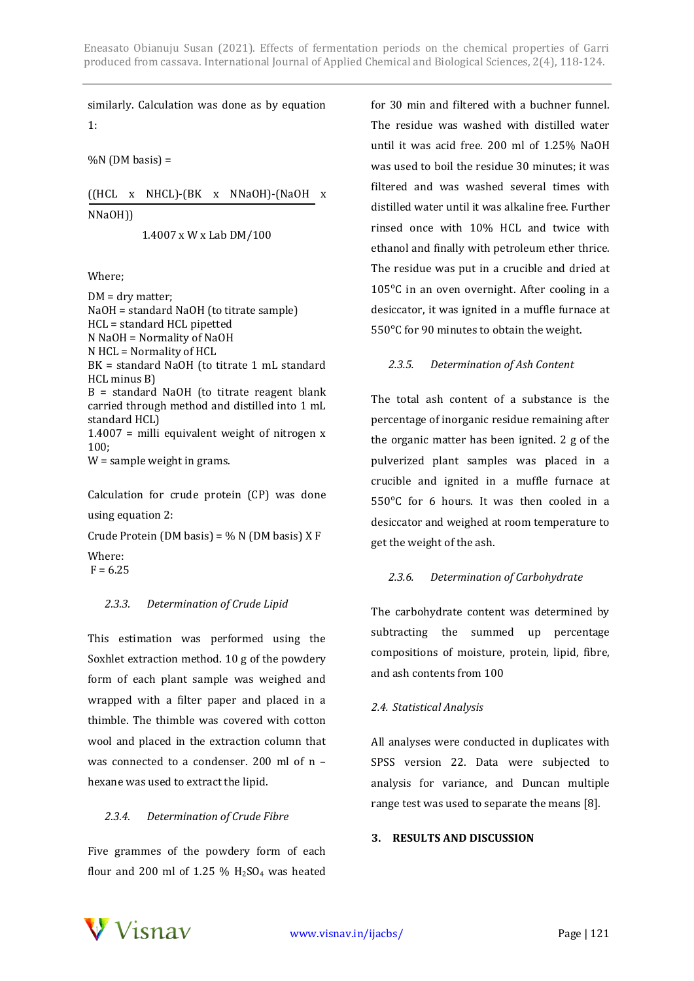similarly. Calculation was done as by equation 1:

 $%$ N (DM basis) =

((HCL x NHCL)-(BK x NNaOH)-(NaOH x NNaOH))

1.4007 x W x Lab DM/100

Where;

DM = dry matter; NaOH = standard NaOH (to titrate sample) HCL = standard HCL pipetted N NaOH = Normality of NaOH N HCL = Normality of HCL BK = standard NaOH (to titrate 1 mL standard HCL minus B) B = standard NaOH (to titrate reagent blank carried through method and distilled into 1 mL standard HCL) 1.4007 = milli equivalent weight of nitrogen x 100; W = sample weight in grams.

Calculation for crude protein (CP) was done using equation 2:

Crude Protein (DM basis) =  $\%$  N (DM basis) X F Where:  $F = 6.25$ 

## *2.3.3. Determination of Crude Lipid*

This estimation was performed using the Soxhlet extraction method. 10 g of the powdery form of each plant sample was weighed and wrapped with a filter paper and placed in a thimble. The thimble was covered with cotton wool and placed in the extraction column that was connected to a condenser. 200 ml of n – hexane was used to extract the lipid.

## *2.3.4. Determination of Crude Fibre*

Five grammes of the powdery form of each flour and 200 ml of 1.25 %  $H<sub>2</sub>SO<sub>4</sub>$  was heated

for 30 min and filtered with a buchner funnel. The residue was washed with distilled water until it was acid free. 200 ml of 1.25% NaOH was used to boil the residue 30 minutes; it was filtered and was washed several times with distilled water until it was alkaline free. Further rinsed once with 10% HCL and twice with ethanol and finally with petroleum ether thrice. The residue was put in a crucible and dried at 105°C in an oven overnight. After cooling in a desiccator, it was ignited in a muffle furnace at 550°C for 90 minutes to obtain the weight.

## *2.3.5. Determination of Ash Content*

The total ash content of a substance is the percentage of inorganic residue remaining after the organic matter has been ignited. 2 g of the pulverized plant samples was placed in a crucible and ignited in a muffle furnace at 550°C for 6 hours. It was then cooled in a desiccator and weighed at room temperature to get the weight of the ash.

## *2.3.6. Determination of Carbohydrate*

The carbohydrate content was determined by subtracting the summed up percentage compositions of moisture, protein, lipid, fibre, and ash contents from 100

## *2.4. Statistical Analysis*

All analyses were conducted in duplicates with SPSS version 22. Data were subjected to analysis for variance, and Duncan multiple range test was used to separate the means [8].

#### **3. RESULTS AND DISCUSSION**

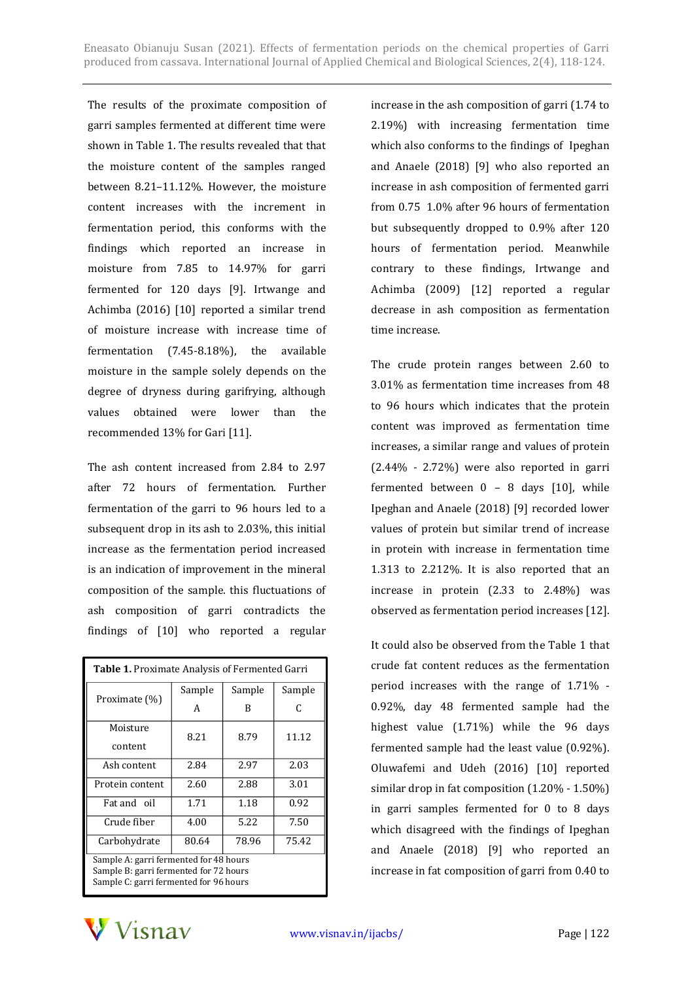The results of the proximate composition of garri samples fermented at different time were shown in Table 1. The results revealed that that the moisture content of the samples ranged between 8.21–11.12%. However, the moisture content increases with the increment in fermentation period, this conforms with the findings which reported an increase in moisture from 7.85 to 14.97% for garri fermented for 120 days [9]. Irtwange and Achimba (2016) [10] reported a similar trend of moisture increase with increase time of fermentation (7.45-8.18%), the available moisture in the sample solely depends on the degree of dryness during garifrying, although values obtained were lower than the recommended 13% for Gari [11].

The ash content increased from 2.84 to 2.97 after 72 hours of fermentation. Further fermentation of the garri to 96 hours led to a subsequent drop in its ash to 2.03%, this initial increase as the fermentation period increased is an indication of improvement in the mineral composition of the sample. this fluctuations of ash composition of garri contradicts the findings of [10] who reported a regular

| Table 1. Proximate Analysis of Fermented Garri                                   |        |        |        |
|----------------------------------------------------------------------------------|--------|--------|--------|
| Proximate (%)                                                                    | Sample | Sample | Sample |
|                                                                                  | A      | B      | C      |
| Moisture                                                                         | 8.21   | 8.79   | 11.12  |
| content                                                                          |        |        |        |
| Ash content                                                                      | 2.84   | 2.97   | 2.03   |
| Protein content                                                                  | 2.60   | 2.88   | 3.01   |
| Fat and oil                                                                      | 1.71   | 1.18   | 0.92   |
| Crude fiber                                                                      | 4.00   | 5.22   | 7.50   |
| Carbohydrate                                                                     | 80.64  | 78.96  | 75.42  |
| Sample A: garri fermented for 48 hours<br>Sample B: garri fermented for 72 hours |        |        |        |
| Sample C: garri fermented for 96 hours                                           |        |        |        |

increase in the ash composition of garri (1.74 to 2.19%) with increasing fermentation time which also conforms to the findings of Ipeghan and Anaele (2018) [9] who also reported an increase in ash composition of fermented garri from 0.75 1.0% after 96 hours of fermentation but subsequently dropped to 0.9% after 120 hours of fermentation period. Meanwhile contrary to these findings, Irtwange and Achimba (2009) [12] reported a regular decrease in ash composition as fermentation time increase.

The crude protein ranges between 2.60 to 3.01% as fermentation time increases from 48 to 96 hours which indicates that the protein content was improved as fermentation time increases, a similar range and values of protein (2.44% - 2.72%) were also reported in garri fermented between 0 – 8 days [10], while Ipeghan and Anaele (2018) [9] recorded lower values of protein but similar trend of increase in protein with increase in fermentation time 1.313 to 2.212%. It is also reported that an increase in protein (2.33 to 2.48%) was observed as fermentation period increases [12].

It could also be observed from the Table 1 that crude fat content reduces as the fermentation period increases with the range of 1.71% - 0.92%, day 48 fermented sample had the highest value (1.71%) while the 96 days fermented sample had the least value (0.92%). Oluwafemi and Udeh (2016) [10] reported similar drop in fat composition (1.20% - 1.50%) in garri samples fermented for 0 to 8 days which disagreed with the findings of Ipeghan and Anaele (2018) [9] who reported an increase in fat composition of garri from 0.40 to

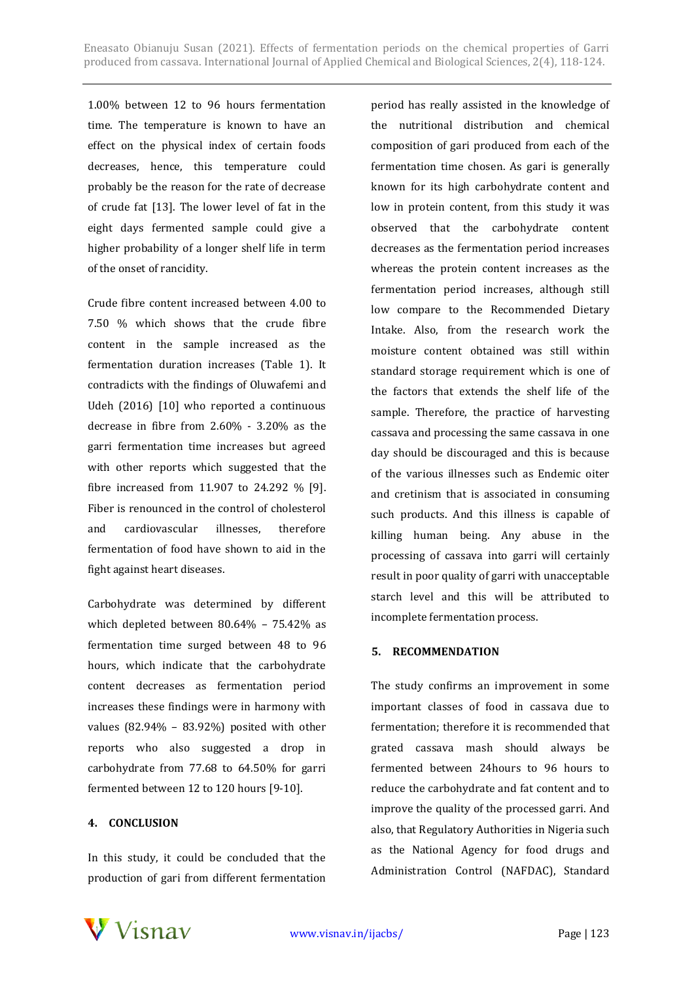1.00% between 12 to 96 hours fermentation time. The temperature is known to have an effect on the physical index of certain foods decreases, hence, this temperature could probably be the reason for the rate of decrease of crude fat [13]. The lower level of fat in the eight days fermented sample could give a higher probability of a longer shelf life in term of the onset of rancidity.

Crude fibre content increased between 4.00 to 7.50 % which shows that the crude fibre content in the sample increased as the fermentation duration increases (Table 1). It contradicts with the findings of Oluwafemi and Udeh (2016) [10] who reported a continuous decrease in fibre from 2.60% - 3.20% as the garri fermentation time increases but agreed with other reports which suggested that the fibre increased from 11.907 to 24.292 % [9]. Fiber is renounced in the control of cholesterol and cardiovascular illnesses, therefore fermentation of food have shown to aid in the fight against heart diseases.

Carbohydrate was determined by different which depleted between 80.64% – 75.42% as fermentation time surged between 48 to 96 hours, which indicate that the carbohydrate content decreases as fermentation period increases these findings were in harmony with values (82.94% – 83.92%) posited with other reports who also suggested a drop in carbohydrate from 77.68 to 64.50% for garri fermented between 12 to 120 hours [9-10].

## **4. CONCLUSION**

In this study, it could be concluded that the production of gari from different fermentation

period has really assisted in the knowledge of the nutritional distribution and chemical composition of gari produced from each of the fermentation time chosen. As gari is generally known for its high carbohydrate content and low in protein content, from this study it was observed that the carbohydrate content decreases as the fermentation period increases whereas the protein content increases as the fermentation period increases, although still low compare to the Recommended Dietary Intake. Also, from the research work the moisture content obtained was still within standard storage requirement which is one of the factors that extends the shelf life of the sample. Therefore, the practice of harvesting cassava and processing the same cassava in one day should be discouraged and this is because of the various illnesses such as Endemic oiter and cretinism that is associated in consuming such products. And this illness is capable of killing human being. Any abuse in the processing of cassava into garri will certainly result in poor quality of garri with unacceptable starch level and this will be attributed to incomplete fermentation process.

## **5. RECOMMENDATION**

The study confirms an improvement in some important classes of food in cassava due to fermentation; therefore it is recommended that grated cassava mash should always be fermented between 24hours to 96 hours to reduce the carbohydrate and fat content and to improve the quality of the processed garri. And also, that Regulatory Authorities in Nigeria such as the National Agency for food drugs and Administration Control (NAFDAC), Standard